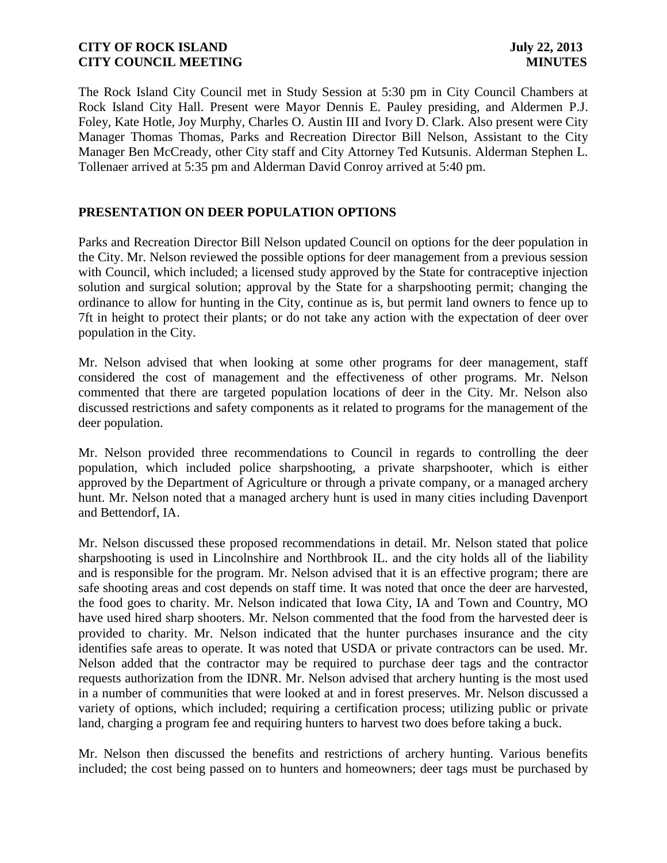The Rock Island City Council met in Study Session at 5:30 pm in City Council Chambers at Rock Island City Hall. Present were Mayor Dennis E. Pauley presiding, and Aldermen P.J. Foley, Kate Hotle, Joy Murphy, Charles O. Austin III and Ivory D. Clark. Also present were City Manager Thomas Thomas, Parks and Recreation Director Bill Nelson, Assistant to the City Manager Ben McCready, other City staff and City Attorney Ted Kutsunis. Alderman Stephen L. Tollenaer arrived at 5:35 pm and Alderman David Conroy arrived at 5:40 pm.

# **PRESENTATION ON DEER POPULATION OPTIONS**

Parks and Recreation Director Bill Nelson updated Council on options for the deer population in the City. Mr. Nelson reviewed the possible options for deer management from a previous session with Council, which included; a licensed study approved by the State for contraceptive injection solution and surgical solution; approval by the State for a sharpshooting permit; changing the ordinance to allow for hunting in the City, continue as is, but permit land owners to fence up to 7ft in height to protect their plants; or do not take any action with the expectation of deer over population in the City.

Mr. Nelson advised that when looking at some other programs for deer management, staff considered the cost of management and the effectiveness of other programs. Mr. Nelson commented that there are targeted population locations of deer in the City. Mr. Nelson also discussed restrictions and safety components as it related to programs for the management of the deer population.

Mr. Nelson provided three recommendations to Council in regards to controlling the deer population, which included police sharpshooting, a private sharpshooter, which is either approved by the Department of Agriculture or through a private company, or a managed archery hunt. Mr. Nelson noted that a managed archery hunt is used in many cities including Davenport and Bettendorf, IA.

Mr. Nelson discussed these proposed recommendations in detail. Mr. Nelson stated that police sharpshooting is used in Lincolnshire and Northbrook IL. and the city holds all of the liability and is responsible for the program. Mr. Nelson advised that it is an effective program; there are safe shooting areas and cost depends on staff time. It was noted that once the deer are harvested, the food goes to charity. Mr. Nelson indicated that Iowa City, IA and Town and Country, MO have used hired sharp shooters. Mr. Nelson commented that the food from the harvested deer is provided to charity. Mr. Nelson indicated that the hunter purchases insurance and the city identifies safe areas to operate. It was noted that USDA or private contractors can be used. Mr. Nelson added that the contractor may be required to purchase deer tags and the contractor requests authorization from the IDNR. Mr. Nelson advised that archery hunting is the most used in a number of communities that were looked at and in forest preserves. Mr. Nelson discussed a variety of options, which included; requiring a certification process; utilizing public or private land, charging a program fee and requiring hunters to harvest two does before taking a buck.

Mr. Nelson then discussed the benefits and restrictions of archery hunting. Various benefits included; the cost being passed on to hunters and homeowners; deer tags must be purchased by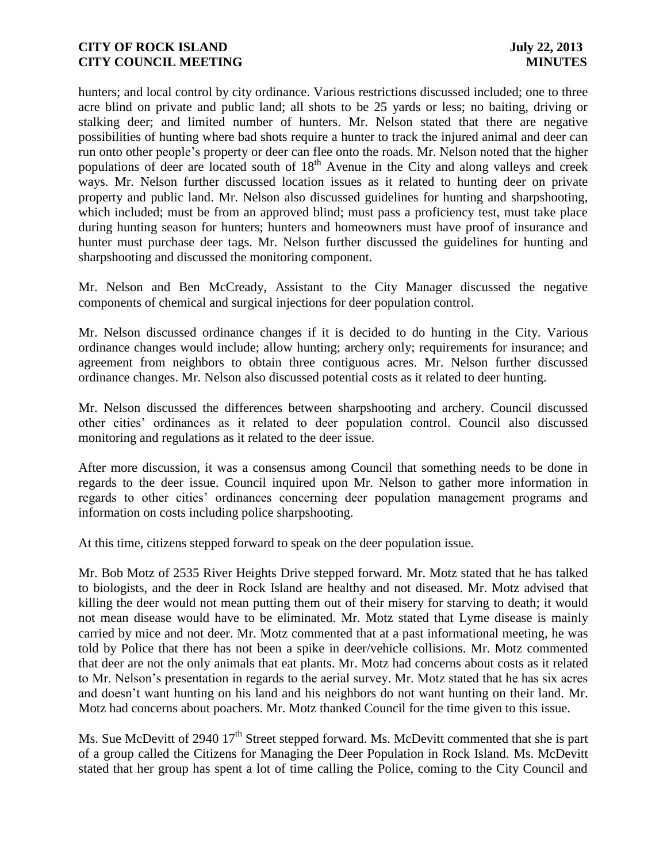hunters; and local control by city ordinance. Various restrictions discussed included; one to three acre blind on private and public land; all shots to be 25 yards or less; no baiting, driving or stalking deer; and limited number of hunters. Mr. Nelson stated that there are negative possibilities of hunting where bad shots require a hunter to track the injured animal and deer can run onto other people's property or deer can flee onto the roads. Mr. Nelson noted that the higher populations of deer are located south of 18<sup>th</sup> Avenue in the City and along valleys and creek ways. Mr. Nelson further discussed location issues as it related to hunting deer on private property and public land. Mr. Nelson also discussed guidelines for hunting and sharpshooting, which included; must be from an approved blind; must pass a proficiency test, must take place during hunting season for hunters; hunters and homeowners must have proof of insurance and hunter must purchase deer tags. Mr. Nelson further discussed the guidelines for hunting and sharpshooting and discussed the monitoring component.

Mr. Nelson and Ben McCready, Assistant to the City Manager discussed the negative components of chemical and surgical injections for deer population control.

Mr. Nelson discussed ordinance changes if it is decided to do hunting in the City. Various ordinance changes would include; allow hunting; archery only; requirements for insurance; and agreement from neighbors to obtain three contiguous acres. Mr. Nelson further discussed ordinance changes. Mr. Nelson also discussed potential costs as it related to deer hunting.

Mr. Nelson discussed the differences between sharpshooting and archery. Council discussed other cities' ordinances as it related to deer population control. Council also discussed monitoring and regulations as it related to the deer issue.

After more discussion, it was a consensus among Council that something needs to be done in regards to the deer issue. Council inquired upon Mr. Nelson to gather more information in regards to other cities' ordinances concerning deer population management programs and information on costs including police sharpshooting.

At this time, citizens stepped forward to speak on the deer population issue.

Mr. Bob Motz of 2535 River Heights Drive stepped forward. Mr. Motz stated that he has talked to biologists, and the deer in Rock Island are healthy and not diseased. Mr. Motz advised that killing the deer would not mean putting them out of their misery for starving to death; it would not mean disease would have to be eliminated. Mr. Motz stated that Lyme disease is mainly carried by mice and not deer. Mr. Motz commented that at a past informational meeting, he was told by Police that there has not been a spike in deer/vehicle collisions. Mr. Motz commented that deer are not the only animals that eat plants. Mr. Motz had concerns about costs as it related to Mr. Nelson's presentation in regards to the aerial survey. Mr. Motz stated that he has six acres and doesn't want hunting on his land and his neighbors do not want hunting on their land. Mr. Motz had concerns about poachers. Mr. Motz thanked Council for the time given to this issue.

Ms. Sue McDevitt of 2940 17<sup>th</sup> Street stepped forward. Ms. McDevitt commented that she is part of a group called the Citizens for Managing the Deer Population in Rock Island. Ms. McDevitt stated that her group has spent a lot of time calling the Police, coming to the City Council and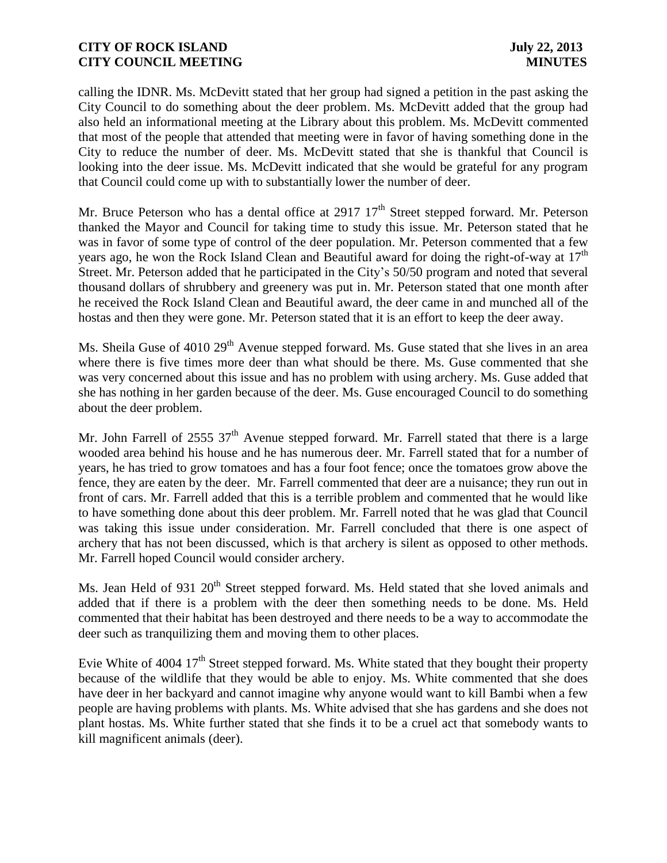calling the IDNR. Ms. McDevitt stated that her group had signed a petition in the past asking the City Council to do something about the deer problem. Ms. McDevitt added that the group had also held an informational meeting at the Library about this problem. Ms. McDevitt commented that most of the people that attended that meeting were in favor of having something done in the City to reduce the number of deer. Ms. McDevitt stated that she is thankful that Council is looking into the deer issue. Ms. McDevitt indicated that she would be grateful for any program that Council could come up with to substantially lower the number of deer.

Mr. Bruce Peterson who has a dental office at 2917  $17<sup>th</sup>$  Street stepped forward. Mr. Peterson thanked the Mayor and Council for taking time to study this issue. Mr. Peterson stated that he was in favor of some type of control of the deer population. Mr. Peterson commented that a few years ago, he won the Rock Island Clean and Beautiful award for doing the right-of-way at  $17<sup>th</sup>$ Street. Mr. Peterson added that he participated in the City's 50/50 program and noted that several thousand dollars of shrubbery and greenery was put in. Mr. Peterson stated that one month after he received the Rock Island Clean and Beautiful award, the deer came in and munched all of the hostas and then they were gone. Mr. Peterson stated that it is an effort to keep the deer away.

Ms. Sheila Guse of 4010 29<sup>th</sup> Avenue stepped forward. Ms. Guse stated that she lives in an area where there is five times more deer than what should be there. Ms. Guse commented that she was very concerned about this issue and has no problem with using archery. Ms. Guse added that she has nothing in her garden because of the deer. Ms. Guse encouraged Council to do something about the deer problem.

Mr. John Farrell of 2555  $37<sup>th</sup>$  Avenue stepped forward. Mr. Farrell stated that there is a large wooded area behind his house and he has numerous deer. Mr. Farrell stated that for a number of years, he has tried to grow tomatoes and has a four foot fence; once the tomatoes grow above the fence, they are eaten by the deer. Mr. Farrell commented that deer are a nuisance; they run out in front of cars. Mr. Farrell added that this is a terrible problem and commented that he would like to have something done about this deer problem. Mr. Farrell noted that he was glad that Council was taking this issue under consideration. Mr. Farrell concluded that there is one aspect of archery that has not been discussed, which is that archery is silent as opposed to other methods. Mr. Farrell hoped Council would consider archery.

Ms. Jean Held of 931 20<sup>th</sup> Street stepped forward. Ms. Held stated that she loved animals and added that if there is a problem with the deer then something needs to be done. Ms. Held commented that their habitat has been destroyed and there needs to be a way to accommodate the deer such as tranquilizing them and moving them to other places.

Evie White of 4004  $17<sup>th</sup>$  Street stepped forward. Ms. White stated that they bought their property because of the wildlife that they would be able to enjoy. Ms. White commented that she does have deer in her backyard and cannot imagine why anyone would want to kill Bambi when a few people are having problems with plants. Ms. White advised that she has gardens and she does not plant hostas. Ms. White further stated that she finds it to be a cruel act that somebody wants to kill magnificent animals (deer).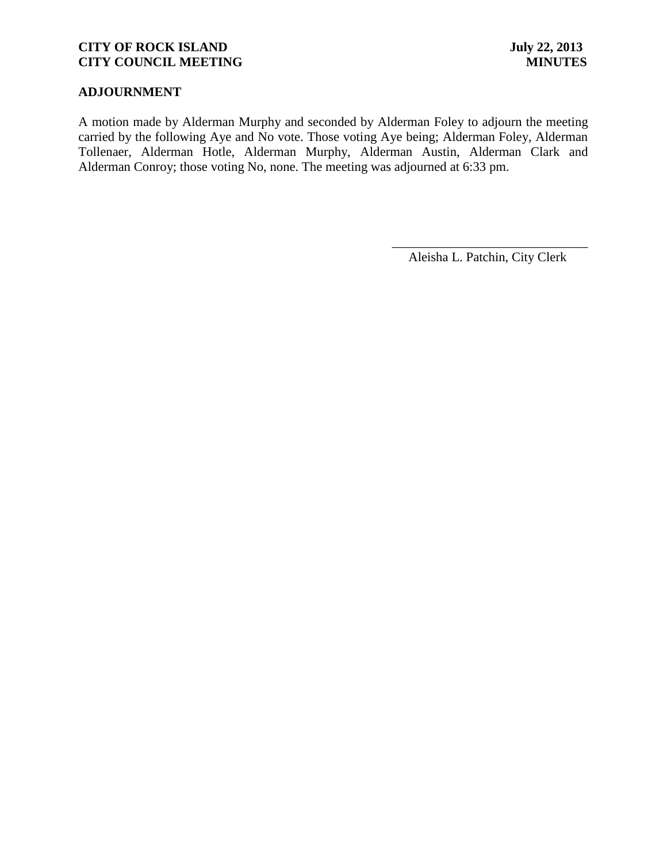# **ADJOURNMENT**

A motion made by Alderman Murphy and seconded by Alderman Foley to adjourn the meeting carried by the following Aye and No vote. Those voting Aye being; Alderman Foley, Alderman Tollenaer, Alderman Hotle, Alderman Murphy, Alderman Austin, Alderman Clark and Alderman Conroy; those voting No, none. The meeting was adjourned at 6:33 pm.

> \_\_\_\_\_\_\_\_\_\_\_\_\_\_\_\_\_\_\_\_\_\_\_\_\_\_\_\_\_\_ Aleisha L. Patchin, City Clerk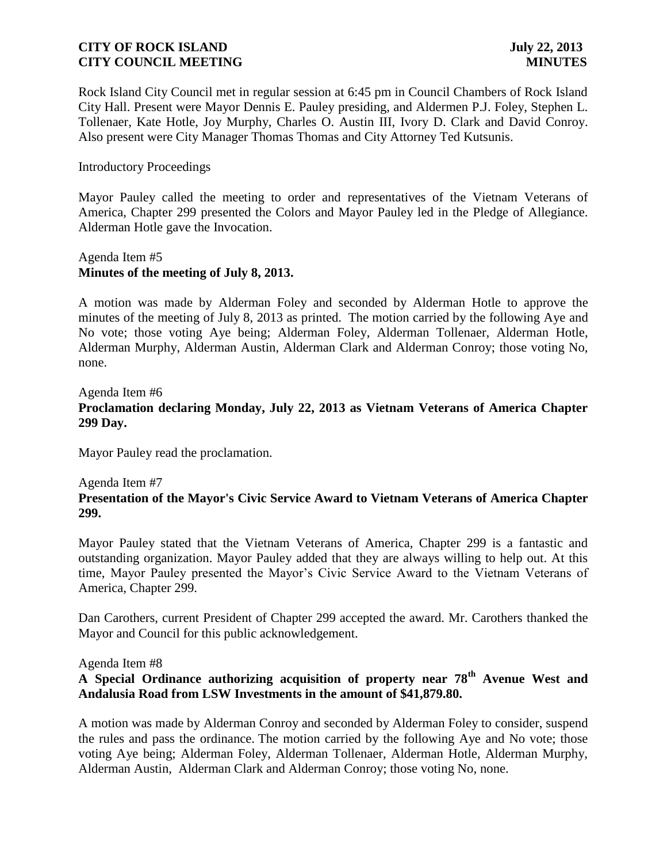Rock Island City Council met in regular session at 6:45 pm in Council Chambers of Rock Island City Hall. Present were Mayor Dennis E. Pauley presiding, and Aldermen P.J. Foley, Stephen L. Tollenaer, Kate Hotle, Joy Murphy, Charles O. Austin III, Ivory D. Clark and David Conroy. Also present were City Manager Thomas Thomas and City Attorney Ted Kutsunis.

#### Introductory Proceedings

Mayor Pauley called the meeting to order and representatives of the Vietnam Veterans of America, Chapter 299 presented the Colors and Mayor Pauley led in the Pledge of Allegiance. Alderman Hotle gave the Invocation.

# Agenda Item #5 **Minutes of the meeting of July 8, 2013.**

A motion was made by Alderman Foley and seconded by Alderman Hotle to approve the minutes of the meeting of July 8, 2013 as printed. The motion carried by the following Aye and No vote; those voting Aye being; Alderman Foley, Alderman Tollenaer, Alderman Hotle, Alderman Murphy, Alderman Austin, Alderman Clark and Alderman Conroy; those voting No, none.

# Agenda Item #6 **Proclamation declaring Monday, July 22, 2013 as Vietnam Veterans of America Chapter 299 Day.**

Mayor Pauley read the proclamation.

#### Agenda Item #7

# **Presentation of the Mayor's Civic Service Award to Vietnam Veterans of America Chapter 299.**

Mayor Pauley stated that the Vietnam Veterans of America, Chapter 299 is a fantastic and outstanding organization. Mayor Pauley added that they are always willing to help out. At this time, Mayor Pauley presented the Mayor's Civic Service Award to the Vietnam Veterans of America, Chapter 299.

Dan Carothers, current President of Chapter 299 accepted the award. Mr. Carothers thanked the Mayor and Council for this public acknowledgement.

#### Agenda Item #8

# **A Special Ordinance authorizing acquisition of property near 78th Avenue West and Andalusia Road from LSW Investments in the amount of \$41,879.80.**

A motion was made by Alderman Conroy and seconded by Alderman Foley to consider, suspend the rules and pass the ordinance. The motion carried by the following Aye and No vote; those voting Aye being; Alderman Foley, Alderman Tollenaer, Alderman Hotle, Alderman Murphy, Alderman Austin, Alderman Clark and Alderman Conroy; those voting No, none.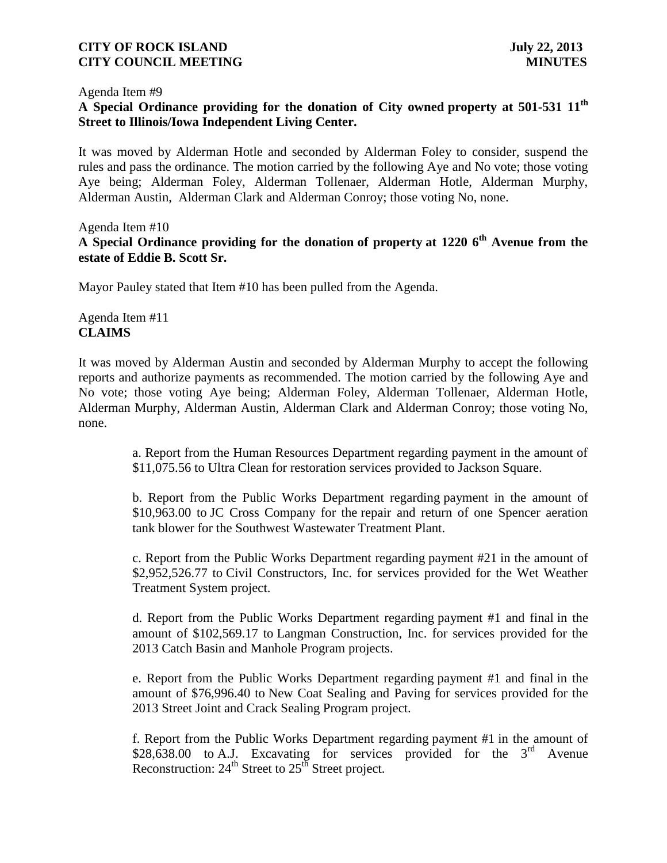#### Agenda Item #9

# **A Special Ordinance providing for the donation of City owned property at 501-531 11th Street to Illinois/Iowa Independent Living Center.**

It was moved by Alderman Hotle and seconded by Alderman Foley to consider, suspend the rules and pass the ordinance. The motion carried by the following Aye and No vote; those voting Aye being; Alderman Foley, Alderman Tollenaer, Alderman Hotle, Alderman Murphy, Alderman Austin, Alderman Clark and Alderman Conroy; those voting No, none.

# Agenda Item #10 **A Special Ordinance providing for the donation of property at 1220 6th Avenue from the estate of Eddie B. Scott Sr.**

Mayor Pauley stated that Item #10 has been pulled from the Agenda.

### Agenda Item #11 **CLAIMS**

It was moved by Alderman Austin and seconded by Alderman Murphy to accept the following reports and authorize payments as recommended. The motion carried by the following Aye and No vote; those voting Aye being; Alderman Foley, Alderman Tollenaer, Alderman Hotle, Alderman Murphy, Alderman Austin, Alderman Clark and Alderman Conroy; those voting No, none.

> a. Report from the Human Resources Department regarding payment in the amount of \$11,075.56 to Ultra Clean for restoration services provided to Jackson Square.

> b. Report from the Public Works Department regarding payment in the amount of \$10,963.00 to JC Cross Company for the repair and return of one Spencer aeration tank blower for the Southwest Wastewater Treatment Plant.

> c. Report from the Public Works Department regarding payment #21 in the amount of \$2,952,526.77 to Civil Constructors, Inc. for services provided for the Wet Weather Treatment System project.

> d. Report from the Public Works Department regarding payment #1 and final in the amount of \$102,569.17 to Langman Construction, Inc. for services provided for the 2013 Catch Basin and Manhole Program projects.

> e. Report from the Public Works Department regarding payment #1 and final in the amount of \$76,996.40 to New Coat Sealing and Paving for services provided for the 2013 Street Joint and Crack Sealing Program project.

> f. Report from the Public Works Department regarding payment #1 in the amount of \$28,638.00 to A.J. Excavating for services provided for the  $3<sup>rd</sup>$  Avenue Reconstruction:  $24<sup>th</sup>$  Street to  $25<sup>th</sup>$  Street project.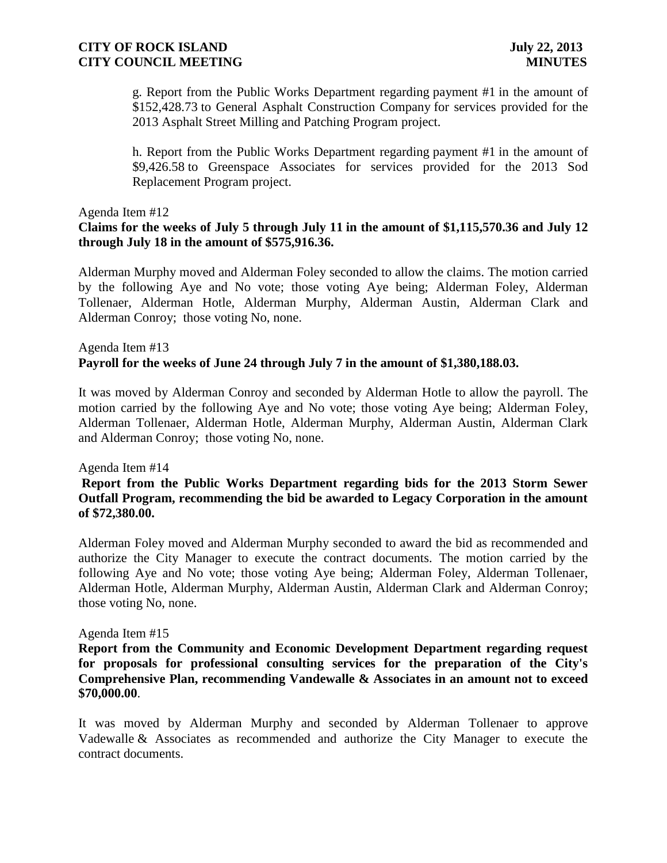g. Report from the Public Works Department regarding payment #1 in the amount of \$152,428.73 to General Asphalt Construction Company for services provided for the 2013 Asphalt Street Milling and Patching Program project.

h. Report from the Public Works Department regarding payment #1 in the amount of \$9,426.58 to Greenspace Associates for services provided for the 2013 Sod Replacement Program project.

#### Agenda Item #12

### **Claims for the weeks of July 5 through July 11 in the amount of \$1,115,570.36 and July 12 through July 18 in the amount of \$575,916.36.**

 Alderman Murphy moved and Alderman Foley seconded to allow the claims. The motion carried by the following Aye and No vote; those voting Aye being; Alderman Foley, Alderman Tollenaer, Alderman Hotle, Alderman Murphy, Alderman Austin, Alderman Clark and Alderman Conroy; those voting No, none.

# Agenda Item #13 **Payroll for the weeks of June 24 through July 7 in the amount of \$1,380,188.03.**

It was moved by Alderman Conroy and seconded by Alderman Hotle to allow the payroll. The motion carried by the following Aye and No vote; those voting Aye being; Alderman Foley, Alderman Tollenaer, Alderman Hotle, Alderman Murphy, Alderman Austin, Alderman Clark and Alderman Conroy; those voting No, none.

#### Agenda Item #14

### **Report from the Public Works Department regarding bids for the 2013 Storm Sewer Outfall Program, recommending the bid be awarded to Legacy Corporation in the amount of \$72,380.00.**

Alderman Foley moved and Alderman Murphy seconded to award the bid as recommended and authorize the City Manager to execute the contract documents. The motion carried by the following Aye and No vote; those voting Aye being; Alderman Foley, Alderman Tollenaer, Alderman Hotle, Alderman Murphy, Alderman Austin, Alderman Clark and Alderman Conroy; those voting No, none.

#### Agenda Item #15

**Report from the Community and Economic Development Department regarding request for proposals for professional consulting services for the preparation of the City's Comprehensive Plan, recommending Vandewalle & Associates in an amount not to exceed \$70,000.00**.

It was moved by Alderman Murphy and seconded by Alderman Tollenaer to approve Vadewalle & Associates as recommended and authorize the City Manager to execute the contract documents.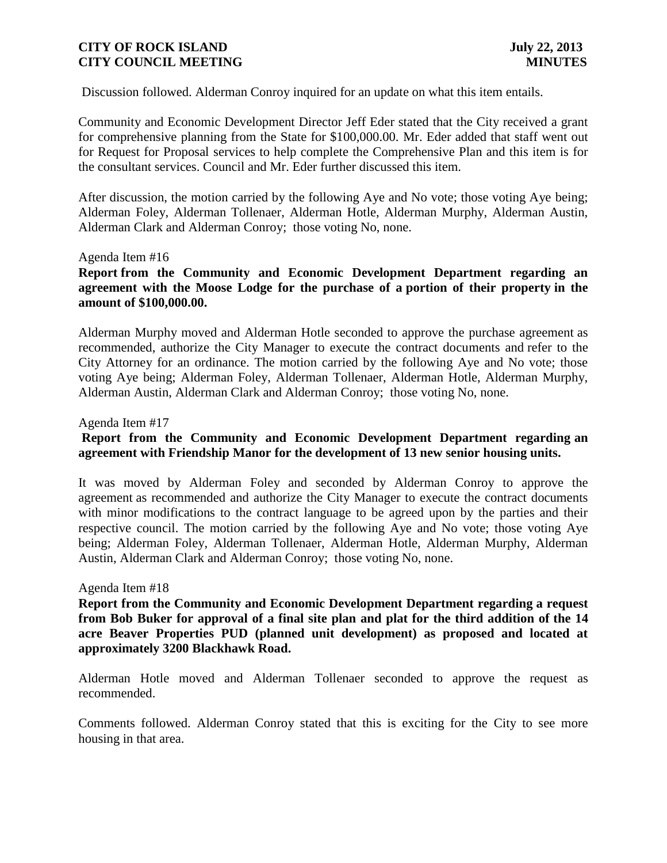Discussion followed. Alderman Conroy inquired for an update on what this item entails.

Community and Economic Development Director Jeff Eder stated that the City received a grant for comprehensive planning from the State for \$100,000.00. Mr. Eder added that staff went out for Request for Proposal services to help complete the Comprehensive Plan and this item is for the consultant services. Council and Mr. Eder further discussed this item.

After discussion, the motion carried by the following Aye and No vote; those voting Aye being; Alderman Foley, Alderman Tollenaer, Alderman Hotle, Alderman Murphy, Alderman Austin, Alderman Clark and Alderman Conroy; those voting No, none.

#### Agenda Item #16

# **Report from the Community and Economic Development Department regarding an agreement with the Moose Lodge for the purchase of a portion of their property in the amount of \$100,000.00.**

Alderman Murphy moved and Alderman Hotle seconded to approve the purchase agreement as recommended, authorize the City Manager to execute the contract documents and refer to the City Attorney for an ordinance. The motion carried by the following Aye and No vote; those voting Aye being; Alderman Foley, Alderman Tollenaer, Alderman Hotle, Alderman Murphy, Alderman Austin, Alderman Clark and Alderman Conroy; those voting No, none.

#### Agenda Item #17

# **Report from the Community and Economic Development Department regarding an agreement with Friendship Manor for the development of 13 new senior housing units.**

It was moved by Alderman Foley and seconded by Alderman Conroy to approve the agreement as recommended and authorize the City Manager to execute the contract documents with minor modifications to the contract language to be agreed upon by the parties and their respective council. The motion carried by the following Aye and No vote; those voting Aye being; Alderman Foley, Alderman Tollenaer, Alderman Hotle, Alderman Murphy, Alderman Austin, Alderman Clark and Alderman Conroy; those voting No, none.

#### Agenda Item #18

**Report from the Community and Economic Development Department regarding a request from Bob Buker for approval of a final site plan and plat for the third addition of the 14 acre Beaver Properties PUD (planned unit development) as proposed and located at approximately 3200 Blackhawk Road.**

Alderman Hotle moved and Alderman Tollenaer seconded to approve the request as recommended.

Comments followed. Alderman Conroy stated that this is exciting for the City to see more housing in that area.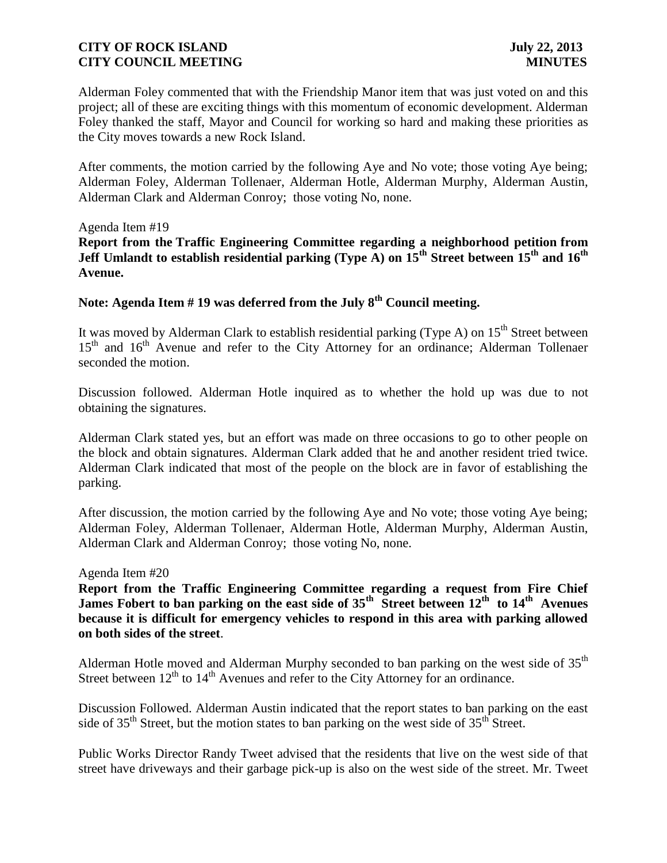Alderman Foley commented that with the Friendship Manor item that was just voted on and this project; all of these are exciting things with this momentum of economic development. Alderman Foley thanked the staff, Mayor and Council for working so hard and making these priorities as the City moves towards a new Rock Island.

After comments, the motion carried by the following Aye and No vote; those voting Aye being; Alderman Foley, Alderman Tollenaer, Alderman Hotle, Alderman Murphy, Alderman Austin, Alderman Clark and Alderman Conroy; those voting No, none.

#### Agenda Item #19

**Report from the Traffic Engineering Committee regarding a neighborhood petition from Jeff Umlandt to establish residential parking (Type A) on 15th Street between 15th and 16th Avenue.** 

**Note: Agenda Item # 19 was deferred from the July 8th Council meeting.**

It was moved by Alderman Clark to establish residential parking (Type A) on  $15<sup>th</sup>$  Street between 15<sup>th</sup> and 16<sup>th</sup> Avenue and refer to the City Attorney for an ordinance; Alderman Tollenaer seconded the motion.

Discussion followed. Alderman Hotle inquired as to whether the hold up was due to not obtaining the signatures.

Alderman Clark stated yes, but an effort was made on three occasions to go to other people on the block and obtain signatures. Alderman Clark added that he and another resident tried twice. Alderman Clark indicated that most of the people on the block are in favor of establishing the parking.

After discussion, the motion carried by the following Aye and No vote; those voting Aye being; Alderman Foley, Alderman Tollenaer, Alderman Hotle, Alderman Murphy, Alderman Austin, Alderman Clark and Alderman Conroy; those voting No, none.

#### Agenda Item #20

**Report from the Traffic Engineering Committee regarding a request from Fire Chief James Fobert to ban parking on the east side of 35<sup>th</sup> Street between 12<sup>th</sup> to 14<sup>th</sup> Avenues because it is difficult for emergency vehicles to respond in this area with parking allowed on both sides of the street**.

Alderman Hotle moved and Alderman Murphy seconded to ban parking on the west side of 35<sup>th</sup> Street between  $12<sup>th</sup>$  to  $14<sup>th</sup>$  Avenues and refer to the City Attorney for an ordinance.

Discussion Followed. Alderman Austin indicated that the report states to ban parking on the east side of 35<sup>th</sup> Street, but the motion states to ban parking on the west side of 35<sup>th</sup> Street.

Public Works Director Randy Tweet advised that the residents that live on the west side of that street have driveways and their garbage pick-up is also on the west side of the street. Mr. Tweet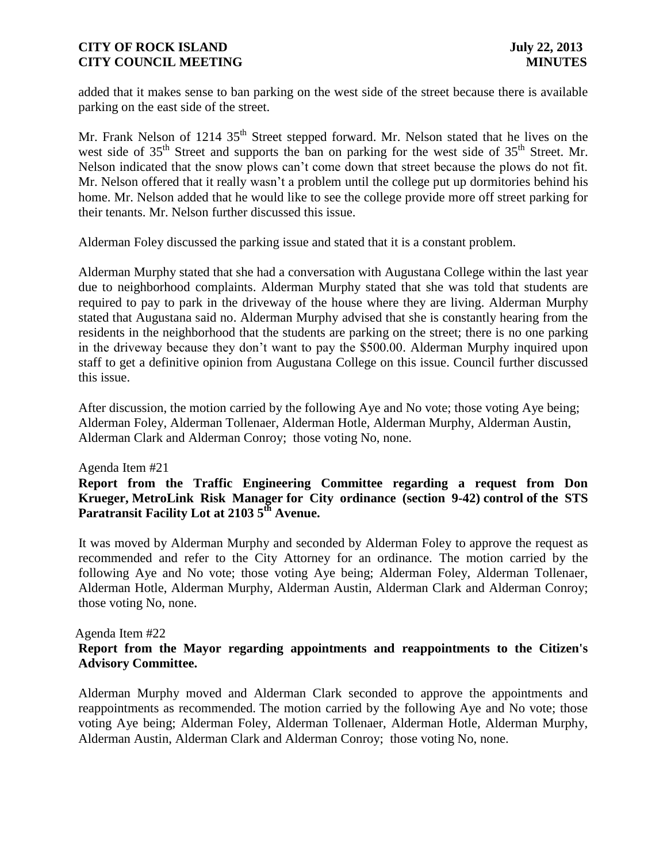added that it makes sense to ban parking on the west side of the street because there is available parking on the east side of the street.

Mr. Frank Nelson of 1214 35<sup>th</sup> Street stepped forward. Mr. Nelson stated that he lives on the west side of 35<sup>th</sup> Street and supports the ban on parking for the west side of 35<sup>th</sup> Street. Mr. Nelson indicated that the snow plows can't come down that street because the plows do not fit. Mr. Nelson offered that it really wasn't a problem until the college put up dormitories behind his home. Mr. Nelson added that he would like to see the college provide more off street parking for their tenants. Mr. Nelson further discussed this issue.

Alderman Foley discussed the parking issue and stated that it is a constant problem.

Alderman Murphy stated that she had a conversation with Augustana College within the last year due to neighborhood complaints. Alderman Murphy stated that she was told that students are required to pay to park in the driveway of the house where they are living. Alderman Murphy stated that Augustana said no. Alderman Murphy advised that she is constantly hearing from the residents in the neighborhood that the students are parking on the street; there is no one parking in the driveway because they don't want to pay the \$500.00. Alderman Murphy inquired upon staff to get a definitive opinion from Augustana College on this issue. Council further discussed this issue.

After discussion, the motion carried by the following Aye and No vote; those voting Aye being; Alderman Foley, Alderman Tollenaer, Alderman Hotle, Alderman Murphy, Alderman Austin, Alderman Clark and Alderman Conroy; those voting No, none.

#### Agenda Item #21

 **Report from the Traffic Engineering Committee regarding a request from Don Krueger, MetroLink Risk Manager for City ordinance (section 9-42) control of the STS Paratransit Facility Lot at 2103 5th Avenue.** 

 It was moved by Alderman Murphy and seconded by Alderman Foley to approve the request as recommended and refer to the City Attorney for an ordinance. The motion carried by the following Aye and No vote; those voting Aye being; Alderman Foley, Alderman Tollenaer, Alderman Hotle, Alderman Murphy, Alderman Austin, Alderman Clark and Alderman Conroy; those voting No, none.

#### Agenda Item #22

### **Report from the Mayor regarding appointments and reappointments to the Citizen's Advisory Committee.**

Alderman Murphy moved and Alderman Clark seconded to approve the appointments and reappointments as recommended. The motion carried by the following Aye and No vote; those voting Aye being; Alderman Foley, Alderman Tollenaer, Alderman Hotle, Alderman Murphy, Alderman Austin, Alderman Clark and Alderman Conroy; those voting No, none.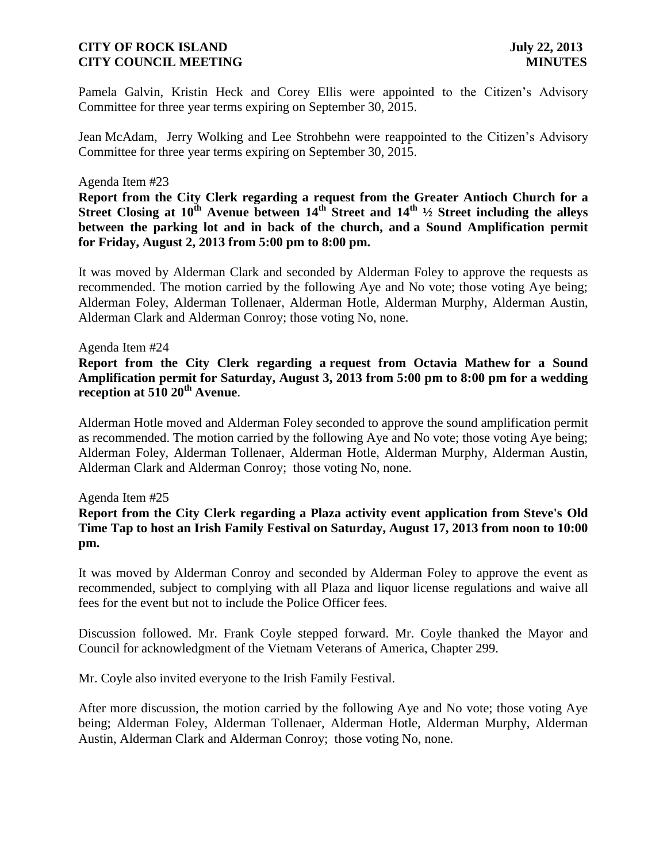Pamela Galvin, Kristin Heck and Corey Ellis were appointed to the Citizen's Advisory Committee for three year terms expiring on September 30, 2015.

Jean McAdam, Jerry Wolking and Lee Strohbehn were reappointed to the Citizen's Advisory Committee for three year terms expiring on September 30, 2015.

#### Agenda Item #23

**Report from the City Clerk regarding a request from the Greater Antioch Church for a Street Closing at 10th Avenue between 14th Street and 14th ½ Street including the alleys between the parking lot and in back of the church, and a Sound Amplification permit for Friday, August 2, 2013 from 5:00 pm to 8:00 pm.**

It was moved by Alderman Clark and seconded by Alderman Foley to approve the requests as recommended. The motion carried by the following Aye and No vote; those voting Aye being; Alderman Foley, Alderman Tollenaer, Alderman Hotle, Alderman Murphy, Alderman Austin, Alderman Clark and Alderman Conroy; those voting No, none.

#### Agenda Item #24

**Report from the City Clerk regarding a request from Octavia Mathew for a Sound Amplification permit for Saturday, August 3, 2013 from 5:00 pm to 8:00 pm for a wedding reception at 510 20th Avenue**.

Alderman Hotle moved and Alderman Foley seconded to approve the sound amplification permit as recommended. The motion carried by the following Aye and No vote; those voting Aye being; Alderman Foley, Alderman Tollenaer, Alderman Hotle, Alderman Murphy, Alderman Austin, Alderman Clark and Alderman Conroy; those voting No, none.

#### Agenda Item #25

**Report from the City Clerk regarding a Plaza activity event application from Steve's Old Time Tap to host an Irish Family Festival on Saturday, August 17, 2013 from noon to 10:00 pm.**

It was moved by Alderman Conroy and seconded by Alderman Foley to approve the event as recommended, subject to complying with all Plaza and liquor license regulations and waive all fees for the event but not to include the Police Officer fees.

Discussion followed. Mr. Frank Coyle stepped forward. Mr. Coyle thanked the Mayor and Council for acknowledgment of the Vietnam Veterans of America, Chapter 299.

Mr. Coyle also invited everyone to the Irish Family Festival.

After more discussion, the motion carried by the following Aye and No vote; those voting Aye being; Alderman Foley, Alderman Tollenaer, Alderman Hotle, Alderman Murphy, Alderman Austin, Alderman Clark and Alderman Conroy; those voting No, none.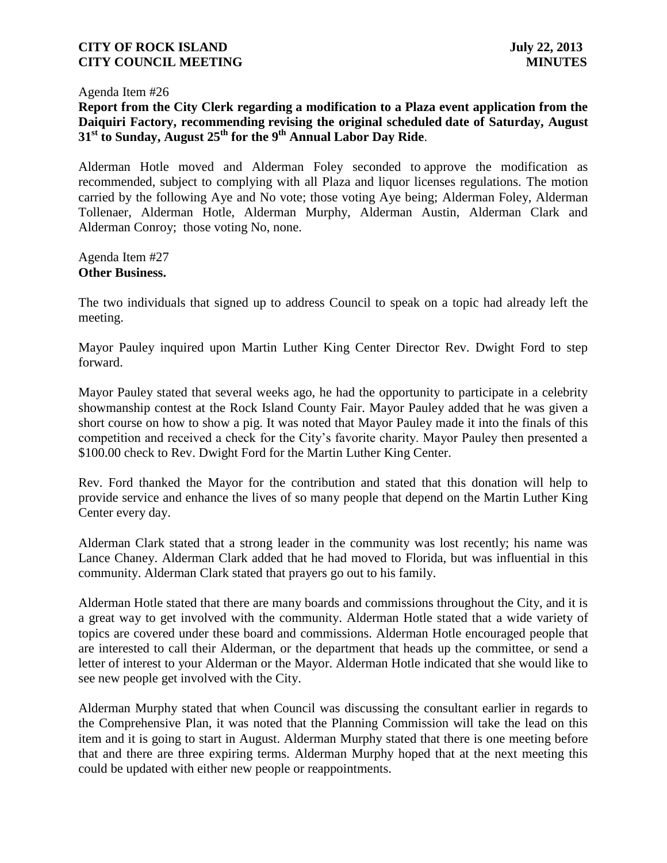Agenda Item #26

# **Report from the City Clerk regarding a modification to a Plaza event application from the Daiquiri Factory, recommending revising the original scheduled date of Saturday, August 31st to Sunday, August 25th for the 9th Annual Labor Day Ride**.

Alderman Hotle moved and Alderman Foley seconded to approve the modification as recommended, subject to complying with all Plaza and liquor licenses regulations. The motion carried by the following Aye and No vote; those voting Aye being; Alderman Foley, Alderman Tollenaer, Alderman Hotle, Alderman Murphy, Alderman Austin, Alderman Clark and Alderman Conroy; those voting No, none.

Agenda Item #27 **Other Business.**

The two individuals that signed up to address Council to speak on a topic had already left the meeting.

Mayor Pauley inquired upon Martin Luther King Center Director Rev. Dwight Ford to step forward.

Mayor Pauley stated that several weeks ago, he had the opportunity to participate in a celebrity showmanship contest at the Rock Island County Fair. Mayor Pauley added that he was given a short course on how to show a pig. It was noted that Mayor Pauley made it into the finals of this competition and received a check for the City's favorite charity. Mayor Pauley then presented a \$100.00 check to Rev. Dwight Ford for the Martin Luther King Center.

Rev. Ford thanked the Mayor for the contribution and stated that this donation will help to provide service and enhance the lives of so many people that depend on the Martin Luther King Center every day.

Alderman Clark stated that a strong leader in the community was lost recently; his name was Lance Chaney. Alderman Clark added that he had moved to Florida, but was influential in this community. Alderman Clark stated that prayers go out to his family.

Alderman Hotle stated that there are many boards and commissions throughout the City, and it is a great way to get involved with the community. Alderman Hotle stated that a wide variety of topics are covered under these board and commissions. Alderman Hotle encouraged people that are interested to call their Alderman, or the department that heads up the committee, or send a letter of interest to your Alderman or the Mayor. Alderman Hotle indicated that she would like to see new people get involved with the City.

Alderman Murphy stated that when Council was discussing the consultant earlier in regards to the Comprehensive Plan, it was noted that the Planning Commission will take the lead on this item and it is going to start in August. Alderman Murphy stated that there is one meeting before that and there are three expiring terms. Alderman Murphy hoped that at the next meeting this could be updated with either new people or reappointments.